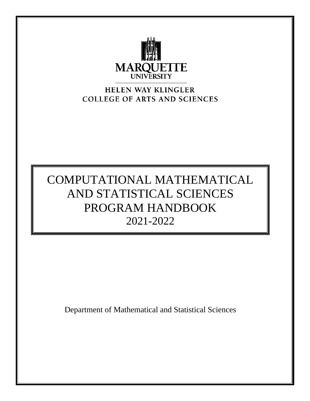

# HELEN WAY KLINGLER **COLLEGE OF ARTS AND SCIENCES**

# COMPUTATIONAL MATHEMATICAL AND STATISTICAL SCIENCES PROGRAM HANDBOOK 2021-2022

Department of Mathematical and Statistical Sciences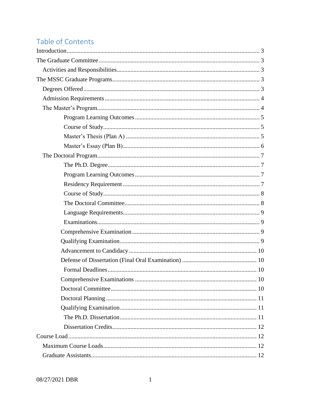# Table of Contents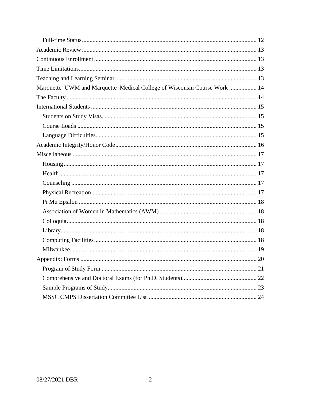| Marquette-UWM and Marquette-Medical College of Wisconsin Course Work  14 |
|--------------------------------------------------------------------------|
|                                                                          |
|                                                                          |
|                                                                          |
|                                                                          |
|                                                                          |
|                                                                          |
|                                                                          |
|                                                                          |
|                                                                          |
|                                                                          |
|                                                                          |
|                                                                          |
|                                                                          |
|                                                                          |
|                                                                          |
|                                                                          |
|                                                                          |
|                                                                          |
|                                                                          |
|                                                                          |
|                                                                          |
|                                                                          |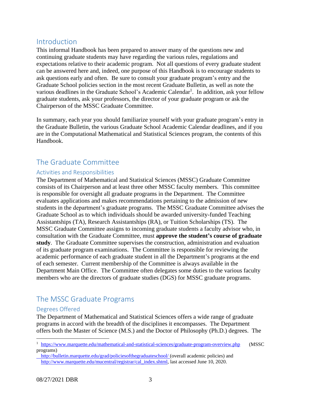# <span id="page-3-0"></span>Introduction

This informal Handbook has been prepared to answer many of the questions new and continuing graduate students may have regarding the various rules, regulations and expectations relative to their academic program. Not all questions of every graduate student can be answered here and, indeed, one purpose of this Handbook is to encourage students to ask questions early and often. Be sure to consult your graduate program's entry and the Graduate School policies section in the most recent Graduate Bulletin, as well as note the various deadlines in the Graduate School's Academic Calendar<sup>1</sup>. In addition, ask your fellow graduate students, ask your professors, the director of your graduate program or ask the Chairperson of the MSSC Graduate Committee.

In summary, each year you should familiarize yourself with your graduate program's entry in the Graduate Bulletin, the various Graduate School Academic Calendar deadlines, and if you are in the Computational Mathematical and Statistical Sciences program, the contents of this Handbook.

# <span id="page-3-1"></span>The Graduate Committee

#### <span id="page-3-2"></span>Activities and Responsibilities

The Department of Mathematical and Statistical Sciences (MSSC) Graduate Committee consists of its Chairperson and at least three other MSSC faculty members. This committee is responsible for oversight all graduate programs in the Department. The Committee evaluates applications and makes recommendations pertaining to the admission of new students in the department's graduate programs. The MSSC Graduate Committee advises the Graduate School as to which individuals should be awarded university-funded Teaching Assistantships (TA), Research Assistantships (RA), or Tuition Scholarships (TS). The MSSC Graduate Committee assigns to incoming graduate students a faculty advisor who, in consultation with the Graduate Committee, must **approve the student's course of graduate study**. The Graduate Committee supervises the construction, administration and evaluation of its graduate program examinations. The Committee is responsible for reviewing the academic performance of each graduate student in all the Department's programs at the end of each semester. Current membership of the Committee is always available in the Department Main Office. The Committee often delegates some duties to the various faculty members who are the directors of graduate studies (DGS) for MSSC graduate programs.

# <span id="page-3-3"></span>The MSSC Graduate Programs

#### <span id="page-3-4"></span>Degrees Offered

 $\overline{a}$ 

The Department of Mathematical and Statistical Sciences offers a wide range of graduate programs in accord with the breadth of the disciplines it encompasses. The Department offers both the Master of Science (M.S.) and the Doctor of Philosophy (Ph.D.) degrees. The

<sup>1</sup> <https://www.marquette.edu/mathematical-and-statistical-sciences/graduate-program-overview.php> (MSSC programs)

<http://bulletin.marquette.edu/grad/policiesofthegraduateschool/> (overall academic policies) and http://www.marquette.edu/mucentral/registrar/cal\_index.shtml, last accessed June 10, 2020.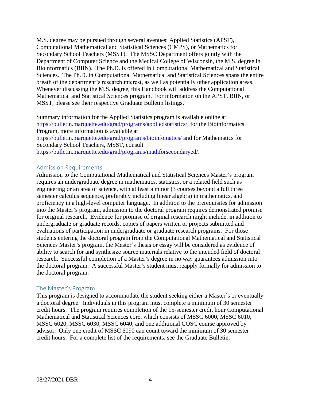M.S. degree may be pursued through several avenues: Applied Statistics (APST), Computational Mathematical and Statistical Sciences (CMPS), or Mathematics for Secondary School Teachers (MSST). The MSSC Department offers jointly with the Department of Computer Science and the Medical College of Wisconsin, the M.S. degree in Bioinformatics (BIIN). The Ph.D. is offered in Computational Mathematical and Statistical Sciences. The Ph.D. in Computational Mathematical and Statistical Sciences spans the entire breath of the department's research interest, as well as potentially other application areas. Whenever discussing the M.S. degree, this Handbook will address the Computational Mathematical and Statistical Sciences program. For information on the APST, BIIN, or MSST, please see their respective Graduate Bulletin listings.

Summary information for the Applied Statistics program is available online at https://bulletin.marquette.edu/grad/programs/appliedstatistics/, for the Bioinformatics Program, more information is available at

https://bulletin.marquette.edu/grad/programs/bioinfomatics/ and for Mathematics for Secondary School Teachers, MSST, consult

https://bulletin.marquette.edu/grad/programs/mathforsecondaryed/.

#### <span id="page-4-0"></span>Admission Requirements

Admission to the Computational Mathematical and Statistical Sciences Master's program requires an undergraduate degree in mathematics, statistics, or a related field such as engineering or an area of science, with at least a minor (3 courses beyond a full three semester calculus sequence, preferably including linear algebra) in mathematics, and proficiency in a high-level computer language. In addition to the prerequisites for admission into the Master's program, admission to the doctoral program requires demonstrated promise for original research. Evidence for promise of original research might include, in addition to undergraduate or graduate records, copies of papers written or projects submitted and evaluations of participation in undergraduate or graduate research programs. For those students entering the doctoral program from the Computational Mathematical and Statistical Sciences Master's program, the Master's thesis or essay will be considered as evidence of ability to search for and synthesize source materials relative to the intended field of doctoral research. Successful completion of a Master's degree in no way guarantees admission into the doctoral program. A successful Master's student must reapply formally for admission to the doctoral program.

#### <span id="page-4-1"></span>The Master's Program

This program is designed to accommodate the student seeking either a Master's or eventually a doctoral degree. Individuals in this program must complete a minimum of 30 semester credit hours. The program requires completion of the 15-semester credit hour Computational Mathematical and Statistical Sciences core, which consists of MSSC 6000, MSSC 6010, MSSC 6020, MSSC 6030, MSSC 6040, and one additional COSC course approved by advisor. Only one credit of MSSC 6090 can count toward the minimum of 30 semester credit hours. For a complete list of the requirements, see the Graduate Bulletin.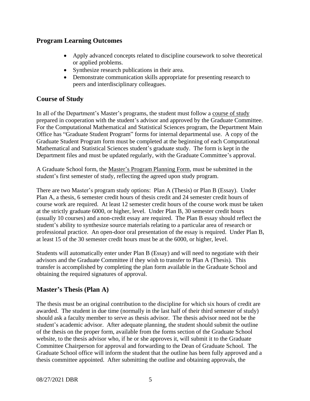### <span id="page-5-0"></span>**Program Learning Outcomes**

- Apply advanced concepts related to discipline coursework to solve theoretical or applied problems.
- Synthesize research publications in their area.
- Demonstrate communication skills appropriate for presenting research to peers and interdisciplinary colleagues.

# <span id="page-5-1"></span>**Course of Study**

In all of the Department's Master's programs, the student must follow a course of study prepared in cooperation with the student's advisor and approved by the Graduate Committee. For the Computational Mathematical and Statistical Sciences program, the Department Main Office has "Graduate Student Program" forms for internal departmental use. A copy of the Graduate Student Program form must be completed at the beginning of each Computational Mathematical and Statistical Sciences student's graduate study. The form is kept in the Department files and must be updated regularly, with the Graduate Committee's approval.

A Graduate School form, the Master's Program Planning Form, must be submitted in the student's first semester of study, reflecting the agreed upon study program.

There are two Master's program study options: Plan A (Thesis) or Plan B (Essay). Under Plan A, a thesis, 6 semester credit hours of thesis credit and 24 semester credit hours of course work are required. At least 12 semester credit hours of the course work must be taken at the strictly graduate 6000, or higher, level. Under Plan B, 30 semester credit hours (usually 10 courses) and a non-credit essay are required. The Plan B essay should reflect the student's ability to synthesize source materials relating to a particular area of research or professional practice. An open-door oral presentation of the essay is required. Under Plan B, at least 15 of the 30 semester credit hours must be at the 6000, or higher, level.

Students will automatically enter under Plan B (Essay) and will need to negotiate with their advisors and the Graduate Committee if they wish to transfer to Plan A (Thesis). This transfer is accomplished by completing the plan form available in the Graduate School and obtaining the required signatures of approval.

## <span id="page-5-2"></span>**Master's Thesis (Plan A)**

The thesis must be an original contribution to the discipline for which six hours of credit are awarded. The student in due time (normally in the last half of their third semester of study) should ask a faculty member to serve as thesis advisor. The thesis advisor need not be the student's academic advisor. After adequate planning, the student should submit the outline of the thesis on the proper form, available from the forms section of the Graduate School website, to the thesis advisor who, if he or she approves it, will submit it to the Graduate Committee Chairperson for approval and forwarding to the Dean of Graduate School. The Graduate School office will inform the student that the outline has been fully approved and a thesis committee appointed. After submitting the outline and obtaining approvals, the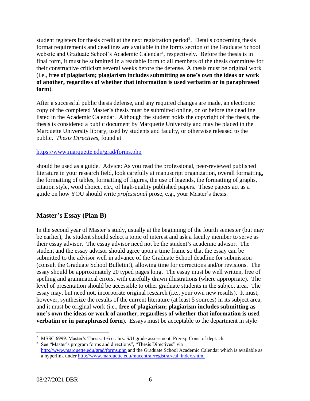student registers for thesis credit at the next registration period<sup>2</sup>. Details concerning thesis format requirements and deadlines are available in the forms section of the Graduate School website and Graduate School's Academic Calendar<sup>3</sup>, respectively. Before the thesis is in final form, it must be submitted in a readable form to all members of the thesis committee for their constructive criticism several weeks before the defense. A thesis must be original work (i.e., **free of plagiarism; plagiarism includes submitting as one's own the ideas or work of another, regardless of whether that information is used verbatim or in paraphrased form**).

After a successful public thesis defense, and any required changes are made, an electronic copy of the completed Master's thesis must be submitted online, on or before the deadline listed in the Academic Calendar. Although the student holds the copyright of the thesis, the thesis is considered a public document by Marquette University and may be placed in the Marquette University library, used by students and faculty, or otherwise released to the public. *Thesis Directives*, found at

#### https://www.marquette.edu/grad/forms.php

should be used as a guide. Advice: As you read the professional, peer-reviewed published literature in your research field, look carefully at manuscript organization, overall formatting, the formatting of tables, formatting of figures, the use of legends, the formatting of graphs, citation style, word choice, *etc*., of high-quality published papers. These papers act as a guide on how YOU should write *professional* prose, e.g., your Master's thesis.

### <span id="page-6-0"></span>**Master's Essay (Plan B)**

In the second year of Master's study, usually at the beginning of the fourth semester (but may be earlier), the student should select a topic of interest and ask a faculty member to serve as their essay advisor. The essay advisor need not be the student's academic advisor. The student and the essay advisor should agree upon a time frame so that the essay can be submitted to the advisor well in advance of the Graduate School deadline for submission (consult the Graduate School Bulletin!), allowing time for corrections and/or revisions. The essay should be approximately 20 typed pages long. The essay must be well written, free of spelling and grammatical errors, with carefully drawn illustrations (where appropriate). The level of presentation should be accessible to other graduate students in the subject area. The essay may, but need not, incorporate original research (i.e., your own new results). It must, however, synthesize the results of the current literature (at least 5 sources) in its subject area, and it must be original work (i.e., **free of plagiarism; plagiarism includes submitting as one's own the ideas or work of another, regardless of whether that information is used verbatim or in paraphrased form**). Essays must be acceptable to the department in style

 $\overline{a}$ <sup>2</sup> MSSC 6999. Master's Thesis. 1-6 cr. hrs. S/U grade assessment. Prereq: Cons. of dept. ch.

<sup>&</sup>lt;sup>3</sup> See "Master's program forms and directions", "Thesis Directives" via <http://www.marquette.edu/grad/forms.php> and the Graduate School Academic Calendar which is available as a hyperlink under [http://www.marquette.edu/mucentral/registrar/cal\\_index.shtml](http://www.marquette.edu/mucentral/registrar/cal_index.shtml)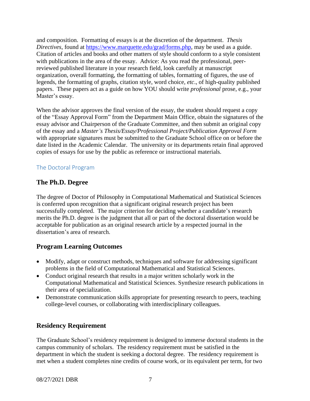and composition. Formatting of essays is at the discretion of the department. *Thesis Directives*, found at https://www.marquette.edu/grad/forms.php, may be used as a guide. Citation of articles and books and other matters of style should conform to a style consistent with publications in the area of the essay. Advice: As you read the professional, peerreviewed published literature in your research field, look carefully at manuscript organization, overall formatting, the formatting of tables, formatting of figures, the use of legends, the formatting of graphs, citation style, word choice, *etc*., of high-quality published papers. These papers act as a guide on how YOU should write *professional* prose, e.g., your Master's essay.

When the advisor approves the final version of the essay, the student should request a copy of the "Essay Approval Form" from the Department Main Office, obtain the signatures of the essay advisor and Chairperson of the Graduate Committee, and then submit an original copy of the essay and a *Master's Thesis/Essay/Professional Project/Publication Approval Form*  with appropriate signatures must be submitted to the Graduate School office on or before the date listed in the Academic Calendar. The university or its departments retain final approved copies of essays for use by the public as reference or instructional materials.

### <span id="page-7-0"></span>The Doctoral Program

## <span id="page-7-1"></span>**The Ph.D. Degree**

The degree of Doctor of Philosophy in Computational Mathematical and Statistical Sciences is conferred upon recognition that a significant original research project has been successfully completed. The major criterion for deciding whether a candidate's research merits the Ph.D. degree is the judgment that all or part of the doctoral dissertation would be acceptable for publication as an original research article by a respected journal in the dissertation's area of research.

## <span id="page-7-2"></span>**Program Learning Outcomes**

- Modify, adapt or construct methods, techniques and software for addressing significant problems in the field of Computational Mathematical and Statistical Sciences.
- Conduct original research that results in a major written scholarly work in the Computational Mathematical and Statistical Sciences. Synthesize research publications in their area of specialization.
- Demonstrate communication skills appropriate for presenting research to peers, teaching college-level courses, or collaborating with interdisciplinary colleagues.

# <span id="page-7-3"></span>**Residency Requirement**

The Graduate School's residency requirement is designed to immerse doctoral students in the campus community of scholars. The residency requirement must be satisfied in the department in which the student is seeking a doctoral degree. The residency requirement is met when a student completes nine credits of course work, or its equivalent per term, for two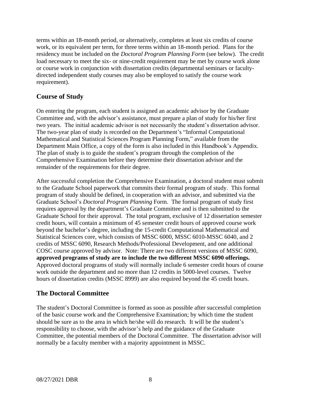terms within an 18-month period, or alternatively, completes at least six credits of course work, or its equivalent per term, for three terms within an 18-month period. Plans for the residency must be included on the *Doctoral Program Planning Form* (see below). The credit load necessary to meet the six- or nine-credit requirement may be met by course work alone or course work in conjunction with dissertation credits (departmental seminars or facultydirected independent study courses may also be employed to satisfy the course work requirement).

## <span id="page-8-0"></span>**Course of Study**

On entering the program, each student is assigned an academic advisor by the Graduate Committee and, with the advisor's assistance, must prepare a plan of study for his/her first two years. The initial academic advisor is not necessarily the student's dissertation advisor. The two-year plan of study is recorded on the Department's "Informal Computational Mathematical and Statistical Sciences Program Planning Form," available from the Department Main Office, a copy of the form is also included in this Handbook's Appendix. The plan of study is to guide the student's program through the completion of the Comprehensive Examination before they determine their dissertation advisor and the remainder of the requirements for their degree.

After successful completion the Comprehensive Examination, a doctoral student must submit to the Graduate School paperwork that commits their formal program of study. This formal program of study should be defined, in cooperation with an advisor, and submitted via the Graduate School's *Doctoral Program Planning* Form. The formal program of study first requires approval by the department's Graduate Committee and is then submitted to the Graduate School for their approval. The total program, exclusive of 12 dissertation semester credit hours, will contain a minimum of 45 semester credit hours of approved course work beyond the bachelor's degree, including the 15-credit Computational Mathematical and Statistical Sciences core, which consists of MSSC 6000, MSSC 6010-MSSC 6040, and 2 credits of MSSC 6090, Research Methods/Professional Development, and one additional COSC course approved by advisor. Note: There are two different versions of MSSC 6090, **approved programs of study are to include the two different MSSC 6090 offerings.** Approved doctoral programs of study will normally include 6 semester credit hours of course work outside the department and no more than 12 credits in 5000-level courses. Twelve hours of dissertation credits (MSSC 8999) are also required beyond the 45 credit hours.

## <span id="page-8-1"></span>**The Doctoral Committee**

The student's Doctoral Committee is formed as soon as possible after successful completion of the basic course work and the Comprehensive Examination; by which time the student should be sure as to the area in which he/she will do research. It will be the student's responsibility to choose, with the advisor's help and the guidance of the Graduate Committee, the potential members of the Doctoral Committee. The dissertation advisor will normally be a faculty member with a majority appointment in MSSC.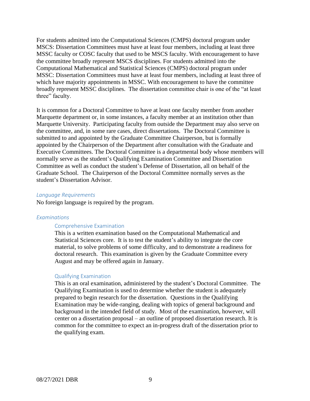For students admitted into the Computational Sciences (CMPS) doctoral program under MSCS: Dissertation Committees must have at least four members, including at least three MSSC faculty or COSC faculty that used to be MSCS faculty. With encouragement to have the committee broadly represent MSCS disciplines. For students admitted into the Computational Mathematical and Statistical Sciences (CMPS) doctoral program under MSSC: Dissertation Committees must have at least four members, including at least three of which have majority appointments in MSSC. With encouragement to have the committee broadly represent MSSC disciplines. The dissertation committee chair is one of the "at least three" faculty.

It is common for a Doctoral Committee to have at least one faculty member from another Marquette department or, in some instances, a faculty member at an institution other than Marquette University. Participating faculty from outside the Department may also serve on the committee, and, in some rare cases, direct dissertations. The Doctoral Committee is submitted to and appointed by the Graduate Committee Chairperson, but is formally appointed by the Chairperson of the Department after consultation with the Graduate and Executive Committees. The Doctoral Committee is a departmental body whose members will normally serve as the student's Qualifying Examination Committee and Dissertation Committee as well as conduct the student's Defense of Dissertation, all on behalf of the Graduate School. The Chairperson of the Doctoral Committee normally serves as the student's Dissertation Advisor.

#### <span id="page-9-0"></span>*Language Requirements*

No foreign language is required by the program.

#### <span id="page-9-2"></span><span id="page-9-1"></span>*Examinations*

#### Comprehensive Examination

This is a written examination based on the Computational Mathematical and Statistical Sciences core. It is to test the student's ability to integrate the core material, to solve problems of some difficulty, and to demonstrate a readiness for doctoral research. This examination is given by the Graduate Committee every August and may be offered again in January.

#### <span id="page-9-3"></span>Qualifying Examination

This is an oral examination, administered by the student's Doctoral Committee. The Qualifying Examination is used to determine whether the student is adequately prepared to begin research for the dissertation. Questions in the Qualifying Examination may be wide-ranging, dealing with topics of general background and background in the intended field of study. Most of the examination, however, will center on a dissertation proposal – an outline of proposed dissertation research. It is common for the committee to expect an in-progress draft of the dissertation prior to the qualifying exam.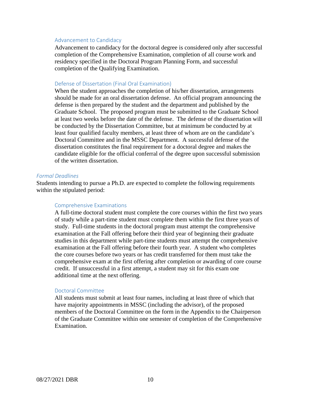#### <span id="page-10-0"></span>Advancement to Candidacy

Advancement to candidacy for the doctoral degree is considered only after successful completion of the Comprehensive Examination, completion of all course work and residency specified in the Doctoral Program Planning Form, and successful completion of the Qualifying Examination.

#### <span id="page-10-1"></span>Defense of Dissertation (Final Oral Examination)

When the student approaches the completion of his/her dissertation, arrangements should be made for an oral dissertation defense. An official program announcing the defense is then prepared by the student and the department and published by the Graduate School. The proposed program must be submitted to the Graduate School at least two weeks before the date of the defense. The defense of the dissertation will be conducted by the Dissertation Committee, but at minimum be conducted by at least four qualified faculty members, at least three of whom are on the candidate's Doctoral Committee and in the MSSC Department. A successful defense of the dissertation constitutes the final requirement for a doctoral degree and makes the candidate eligible for the official conferral of the degree upon successful submission of the written dissertation.

#### <span id="page-10-2"></span>*Formal Deadlines*

<span id="page-10-3"></span>Students intending to pursue a Ph.D. are expected to complete the following requirements within the stipulated period:

#### Comprehensive Examinations

A full-time doctoral student must complete the core courses within the first two years of study while a part-time student must complete them within the first three years of study. Full-time students in the doctoral program must attempt the comprehensive examination at the Fall offering before their third year of beginning their graduate studies in this department while part-time students must attempt the comprehensive examination at the Fall offering before their fourth year. A student who completes the core courses before two years or has credit transferred for them must take the comprehensive exam at the first offering after completion or awarding of core course credit. If unsuccessful in a first attempt, a student may sit for this exam one additional time at the next offering.

#### <span id="page-10-4"></span>Doctoral Committee

All students must submit at least four names, including at least three of which that have majority appointments in MSSC (including the advisor), of the proposed members of the Doctoral Committee on the form in the Appendix to the Chairperson of the Graduate Committee within one semester of completion of the Comprehensive Examination.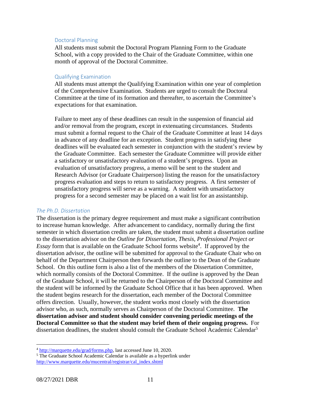#### <span id="page-11-0"></span>Doctoral Planning

All students must submit the Doctoral Program Planning Form to the Graduate School, with a copy provided to the Chair of the Graduate Committee, within one month of approval of the Doctoral Committee.

#### <span id="page-11-1"></span>Qualifying Examination

All students must attempt the Qualifying Examination within one year of completion of the Comprehensive Examination. Students are urged to consult the Doctoral Committee at the time of its formation and thereafter, to ascertain the Committee's expectations for that examination.

Failure to meet any of these deadlines can result in the suspension of financial aid and/or removal from the program, except in extenuating circumstances. Students must submit a formal request to the Chair of the Graduate Committee at least 14 days in advance of any deadline for an exception. Student progress in satisfying these deadlines will be evaluated each semester in conjunction with the student's review by the Graduate Committee. Each semester the Graduate Committee will provide either a satisfactory or unsatisfactory evaluation of a student's progress. Upon an evaluation of unsatisfactory progress, a memo will be sent to the student and Research Advisor (or Graduate Chairperson) listing the reason for the unsatisfactory progress evaluation and steps to return to satisfactory progress. A first semester of unsatisfactory progress will serve as a warning. A student with unsatisfactory progress for a second semester may be placed on a wait list for an assistantship.

#### <span id="page-11-2"></span>*The Ph.D. Dissertation*

The dissertation is the primary degree requirement and must make a significant contribution to increase human knowledge. After advancement to candidacy, normally during the first semester in which dissertation credits are taken, the student must submit a dissertation outline to the dissertation advisor on the *Outline for Dissertation, Thesis, Professional Project or Essay* form that is available on the Graduate School forms website<sup>4</sup>. If approved by the dissertation advisor, the outline will be submitted for approval to the Graduate Chair who on behalf of the Department Chairperson then forwards the outline to the Dean of the Graduate School. On this outline form is also a list of the members of the Dissertation Committee, which normally consists of the Doctoral Committee. If the outline is approved by the Dean of the Graduate School, it will be returned to the Chairperson of the Doctoral Committee and the student will be informed by the Graduate School Office that it has been approved. When the student begins research for the dissertation, each member of the Doctoral Committee offers direction. Usually, however, the student works most closely with the dissertation advisor who, as such, normally serves as Chairperson of the Doctoral Committee. **The dissertation advisor and student should consider convening periodic meetings of the Doctoral Committee so that the student may brief them of their ongoing progress.** For dissertation deadlines, the student should consult the Graduate School Academic Calendar<sup>5</sup>

<sup>4</sup> [http://marquette.edu/grad/forms.php,](http://marquette.edu/grad/forms.php) last accessed June 10, 2020.

<sup>&</sup>lt;sup>5</sup> The Graduate School Academic Calendar is available as a hyperlink under [http://www.marquette.edu/mucentral/registrar/cal\\_index.shtml](http://www.marquette.edu/mucentral/registrar/cal_index.shtml)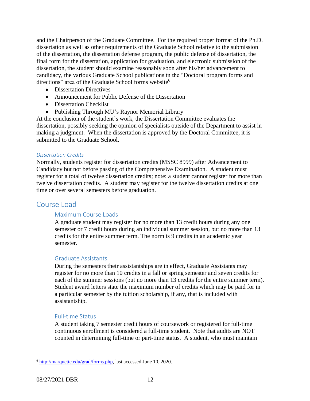and the Chairperson of the Graduate Committee. For the required proper format of the Ph.D. dissertation as well as other requirements of the Graduate School relative to the submission of the dissertation, the dissertation defense program, the public defense of dissertation, the final form for the dissertation, application for graduation, and electronic submission of the dissertation, the student should examine reasonably soon after his/her advancement to candidacy, the various Graduate School publications in the "Doctoral program forms and directions" area of the Graduate School forms website<sup>6</sup>

- Dissertation Directives
- Announcement for Public Defense of the Dissertation
- Dissertation Checklist
- Publishing Through MU's Raynor Memorial Library

At the conclusion of the student's work, the Dissertation Committee evaluates the dissertation, possibly seeking the opinion of specialists outside of the Department to assist in making a judgment. When the dissertation is approved by the Doctoral Committee, it is submitted to the Graduate School.

#### <span id="page-12-0"></span>*Dissertation Credits*

Normally, students register for dissertation credits (MSSC 8999) after Advancement to Candidacy but not before passing of the Comprehensive Examination. A student must register for a total of twelve dissertation credits; note: a student cannot register for more than twelve dissertation credits. A student may register for the twelve dissertation credits at one time or over several semesters before graduation.

## <span id="page-12-2"></span><span id="page-12-1"></span>Course Load

#### Maximum Course Loads

A graduate student may register for no more than 13 credit hours during any one semester or 7 credit hours during an individual summer session, but no more than 13 credits for the entire summer term. The norm is 9 credits in an academic year semester.

#### <span id="page-12-3"></span>Graduate Assistants

During the semesters their assistantships are in effect, Graduate Assistants may register for no more than 10 credits in a fall or spring semester and seven credits for each of the summer sessions (but no more than 13 credits for the entire summer term). Student award letters state the maximum number of credits which may be paid for in a particular semester by the tuition scholarship, if any, that is included with assistantship.

#### <span id="page-12-4"></span>Full-time Status

A student taking 7 semester credit hours of coursework or registered for full-time continuous enrollment is considered a full-time student. Note that audits are NOT counted in determining full-time or part-time status. A student, who must maintain

<sup>6</sup> [http://marquette.edu/grad/forms.php,](http://marquette.edu/grad/forms.php) last accessed June 10, 2020.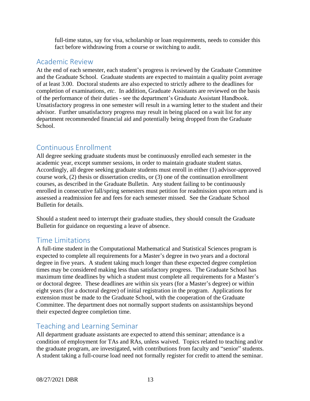full-time status, say for visa, scholarship or loan requirements, needs to consider this fact before withdrawing from a course or switching to audit.

# <span id="page-13-0"></span>Academic Review

At the end of each semester, each student's progress is reviewed by the Graduate Committee and the Graduate School. Graduate students are expected to maintain a quality point average of at least 3.00. Doctoral students are also expected to strictly adhere to the deadlines for completion of examinations, *etc*. In addition, Graduate Assistants are reviewed on the basis of the performance of their duties - see the department's Graduate Assistant Handbook. Unsatisfactory progress in one semester will result in a warning letter to the student and their advisor. Further unsatisfactory progress may result in being placed on a wait list for any department recommended financial aid and potentially being dropped from the Graduate School.

# <span id="page-13-1"></span>Continuous Enrollment

All degree seeking graduate students must be continuously enrolled each semester in the academic year, except summer sessions, in order to maintain graduate student status. Accordingly, all degree seeking graduate students must enroll in either (1) advisor-approved course work, (2) thesis or dissertation credits, or (3) one of the continuation enrollment courses, as described in the Graduate Bulletin. Any student failing to be continuously enrolled in consecutive fall/spring semesters must petition for readmission upon return and is assessed a readmission fee and fees for each semester missed. See the Graduate School Bulletin for details.

Should a student need to interrupt their graduate studies, they should consult the Graduate Bulletin for guidance on requesting a leave of absence.

# <span id="page-13-2"></span>Time Limitations

A full-time student in the Computational Mathematical and Statistical Sciences program is expected to complete all requirements for a Master's degree in two years and a doctoral degree in five years. A student taking much longer than these expected degree completion times may be considered making less than satisfactory progress. The Graduate School has maximum time deadlines by which a student must complete all requirements for a Master's or doctoral degree. These deadlines are within six years (for a Master's degree) or within eight years (for a doctoral degree) of initial registration in the program. Applications for extension must be made to the Graduate School, with the cooperation of the Graduate Committee. The department does not normally support students on assistantships beyond their expected degree completion time.

# <span id="page-13-3"></span>Teaching and Learning Seminar

All department graduate assistants are expected to attend this seminar; attendance is a condition of employment for TAs and RAs, unless waived. Topics related to teaching and/or the graduate program, are investigated, with contributions from faculty and "senior" students. A student taking a full-course load need not formally register for credit to attend the seminar.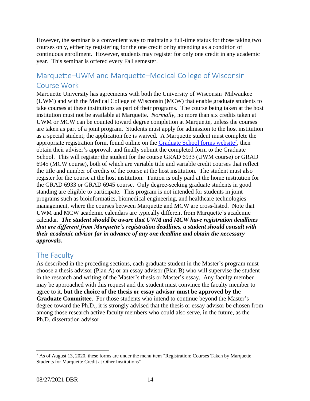However, the seminar is a convenient way to maintain a full-time status for those taking two courses only, either by registering for the one credit or by attending as a condition of continuous enrollment. However, students may register for only one credit in any academic year. This seminar is offered every Fall semester.

# <span id="page-14-0"></span>Marquette–UWM and Marquette–Medical College of Wisconsin Course Work

Marquette University has agreements with both the University of Wisconsin–Milwaukee (UWM) and with the Medical College of Wisconsin (MCW) that enable graduate students to take courses at these institutions as part of their programs. The course being taken at the host institution must not be available at Marquette. *Normally*, no more than six credits taken at UWM or MCW can be counted toward degree completion at Marquette, unless the courses are taken as part of a joint program. Students must apply for admission to the host institution as a special student; the application fee is waived. A Marquette student must complete the appropriate registration form, found online on the **Graduate School forms website<sup>7</sup>**, then obtain their adviser's approval, and finally submit the completed form to the Graduate School. This will register the student for the course GRAD 6933 (UWM course) or GRAD 6945 (MCW course), both of which are variable title and variable credit courses that reflect the title and number of credits of the course at the host institution. The student must also register for the course at the host institution. Tuition is only paid at the home institution for the GRAD 6933 or GRAD 6945 course. Only degree-seeking graduate students in good standing are eligible to participate. This program is not intended for students in joint programs such as bioinformatics, biomedical engineering, and healthcare technologies management, where the courses between Marquette and MCW are cross-listed. Note that UWM and MCW academic calendars are typically different from Marquette's academic calendar. *The student should be aware that UWM and MCW have registration deadlines that are different from Marquette's registration deadlines, a student should consult with their academic advisor far in advance of any one deadline and obtain the necessary approvals.*

# <span id="page-14-1"></span>The Faculty

As described in the preceding sections, each graduate student in the Master's program must choose a thesis advisor (Plan A) or an essay advisor (Plan B) who will supervise the student in the research and writing of the Master's thesis or Master's essay. Any faculty member may be approached with this request and the student must convince the faculty member to agree to it, **but the choice of the thesis or essay advisor must be approved by the Graduate Committee**. For those students who intend to continue beyond the Master's degree toward the Ph.D., it is strongly advised that the thesis or essay advisor be chosen from among those research active faculty members who could also serve, in the future, as the Ph.D. dissertation advisor.

 $<sup>7</sup>$  As of August 13, 2020, these forms are under the menu item "Registration: Courses Taken by Marquette</sup> Students for Marquette Credit at Other Institutions"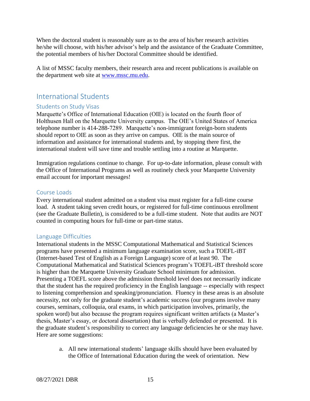When the doctoral student is reasonably sure as to the area of his/her research activities he/she will choose, with his/her advisor's help and the assistance of the Graduate Committee, the potential members of his/her Doctoral Committee should be identified.

A list of MSSC faculty members, their research area and recent publications is available on the department web site at [www.mssc.mu.edu.](http://www.mssc.mu.edu/)

# <span id="page-15-0"></span>International Students

#### <span id="page-15-1"></span>Students on Study Visas

Marquette's Office of International Education (OIE) is located on the fourth floor of Holthusen Hall on the Marquette University campus. The OIE's United States of America telephone number is 414-288-7289. Marquette's non-immigrant foreign-born students should report to OIE as soon as they arrive on campus. OIE is the main source of information and assistance for international students and, by stopping there first, the international student will save time and trouble settling into a routine at Marquette.

Immigration regulations continue to change. For up-to-date information, please consult with the Office of International Programs as well as routinely check your Marquette University email account for important messages!

#### <span id="page-15-2"></span>Course Loads

Every international student admitted on a student visa must register for a full-time course load. A student taking seven credit hours, or registered for full-time continuous enrollment (see the Graduate Bulletin), is considered to be a full-time student. Note that audits are NOT counted in computing hours for full-time or part-time status.

#### <span id="page-15-3"></span>Language Difficulties

International students in the MSSC Computational Mathematical and Statistical Sciences programs have presented a minimum language examination score, such a TOEFL-iBT (Internet-based Test of English as a Foreign Language) score of at least 90. The Computational Mathematical and Statistical Sciences program's TOEFL-iBT threshold score is higher than the Marquette University Graduate School minimum for admission. Presenting a TOEFL score above the admission threshold level does not necessarily indicate that the student has the required proficiency in the English language -- especially with respect to listening comprehension and speaking/pronunciation. Fluency in these areas is an absolute necessity, not only for the graduate student's academic success (our programs involve many courses, seminars, colloquia, oral exams, in which participation involves, primarily, the spoken word) but also because the program requires significant written artifacts (a Master's thesis, Master's essay, or doctoral dissertation) that is verbally defended or presented. It is the graduate student's responsibility to correct any language deficiencies he or she may have. Here are some suggestions:

a. All new international students' language skills should have been evaluated by the Office of International Education during the week of orientation. New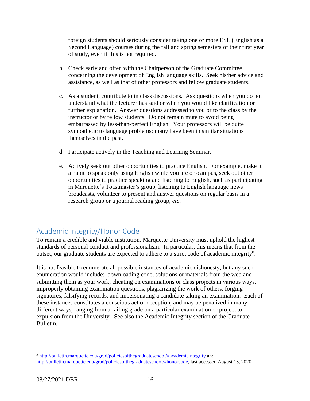foreign students should seriously consider taking one or more ESL (English as a Second Language) courses during the fall and spring semesters of their first year of study, even if this is not required.

- b. Check early and often with the Chairperson of the Graduate Committee concerning the development of English language skills. Seek his/her advice and assistance, as well as that of other professors and fellow graduate students.
- c. As a student, contribute to in class discussions. Ask questions when you do not understand what the lecturer has said or when you would like clarification or further explanation. Answer questions addressed to you or to the class by the instructor or by fellow students. Do not remain mute to avoid being embarrassed by less-than-perfect English. Your professors will be quite sympathetic to language problems; many have been in similar situations themselves in the past.
- d. Participate actively in the Teaching and Learning Seminar.
- e. Actively seek out other opportunities to practice English. For example, make it a habit to speak only using English while you are on-campus, seek out other opportunities to practice speaking and listening to English, such as participating in Marquette's Toastmaster's group, listening to English language news broadcasts, volunteer to present and answer questions on regular basis in a research group or a journal reading group, *etc*.

# <span id="page-16-0"></span>Academic Integrity/Honor Code

To remain a credible and viable institution, Marquette University must uphold the highest standards of personal conduct and professionalism. In particular, this means that from the outset, our graduate students are expected to adhere to a strict code of academic integrity<sup>8</sup>.

It is not feasible to enumerate all possible instances of academic dishonesty, but any such enumeration would include: downloading code, solutions or materials from the web and submitting them as your work, cheating on examinations or class projects in various ways, improperly obtaining examination questions, plagiarizing the work of others, forging signatures, falsifying records, and impersonating a candidate taking an examination. Each of these instances constitutes a conscious act of deception, and may be penalized in many different ways, ranging from a failing grade on a particular examination or project to expulsion from the University. See also the Academic Integrity section of the Graduate Bulletin.

<sup>8</sup> <http://bulletin.marquette.edu/grad/policiesofthegraduateschool/#academicintegrity> and [http://bulletin.marquette.edu/grad/policiesofthegraduateschool/#honorcode,](http://bulletin.marquette.edu/grad/policiesofthegraduateschool/#honorcode) last accessed August 13, 2020.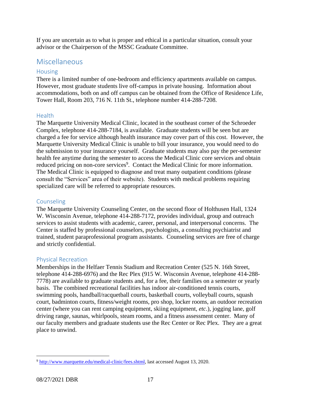If you are uncertain as to what is proper and ethical in a particular situation, consult your advisor or the Chairperson of the MSSC Graduate Committee.

# <span id="page-17-0"></span>Miscellaneous

#### <span id="page-17-1"></span>Housing

There is a limited number of one-bedroom and efficiency apartments available on campus. However, most graduate students live off-campus in private housing. Information about accommodations, both on and off campus can be obtained from the Office of Residence Life, Tower Hall, Room 203, 716 N. 11th St., telephone number 414-288-7208.

#### <span id="page-17-2"></span>Health

The Marquette University Medical Clinic, located in the southeast corner of the Schroeder Complex, telephone 414-288-7184, is available. Graduate students will be seen but are charged a fee for service although health insurance may cover part of this cost. However, the Marquette University Medical Clinic is unable to bill your insurance, you would need to do the submission to your insurance yourself. Graduate students may also pay the per-semester health fee anytime during the semester to access the Medical Clinic core services and obtain reduced pricing on non-core services<sup>9</sup>. Contact the Medical Clinic for more information. The Medical Clinic is equipped to diagnose and treat many outpatient conditions (please consult the "Services" area of their website). Students with medical problems requiring specialized care will be referred to appropriate resources.

#### <span id="page-17-3"></span>Counseling

The Marquette University Counseling Center, on the second floor of Holthusen Hall, 1324 W. Wisconsin Avenue, telephone 414-288-7172, provides individual, group and outreach services to assist students with academic, career, personal, and interpersonal concerns. The Center is staffed by professional counselors, psychologists, a consulting psychiatrist and trained, student paraprofessional program assistants. Counseling services are free of charge and strictly confidential.

#### <span id="page-17-4"></span>Physical Recreation

Memberships in the Helfaer Tennis Stadium and Recreation Center (525 N. 16th Street, telephone 414-288-6976) and the Rec Plex (915 W. Wisconsin Avenue, telephone 414-288- 7778) are available to graduate students and, for a fee, their families on a semester or yearly basis. The combined recreational facilities has indoor air-conditioned tennis courts, swimming pools, handball/racquetball courts, basketball courts, volleyball courts, squash court, badminton courts, fitness/weight rooms, pro shop, locker rooms, an outdoor recreation center (where you can rent camping equipment, skiing equipment, *etc*.), jogging lane, golf driving range, saunas, whirlpools, steam rooms, and a fitness assessment center. Many of our faculty members and graduate students use the Rec Center or Rec Plex. They are a great place to unwind.

<sup>9</sup> [http://www.marquette.edu/medical-clinic/fees.shtml,](http://www.marquette.edu/medical-clinic/fees.shtml) last accessed August 13, 2020.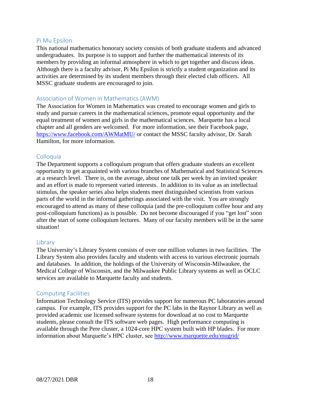#### <span id="page-18-0"></span>Pi Mu Epsilon

This national mathematics honorary society consists of both graduate students and advanced undergraduates. Its purpose is to support and further the mathematical interests of its members by providing an informal atmosphere in which to get together and discuss ideas. Although there is a faculty advisor, Pi Mu Epsilon is strictly a student organization and its activities are determined by its student members through their elected club officers. All MSSC graduate students are encouraged to join.

#### <span id="page-18-1"></span>Association of Women in Mathematics (AWM)

The Association for Women in Mathematics was created to encourage women and girls to study and pursue careers in the mathematical sciences, promote equal opportunity and the equal treatment of women and girls in the mathematical sciences. Marquette has a local chapter and all genders are welcomed. For more information, see their Facebook page, <https://www.facebook.com/AWMatMU/> or contact the MSSC faculty advisor, Dr. Sarah Hamilton, for more information.

#### <span id="page-18-2"></span>Colloquia

The Department supports a colloquium program that offers graduate students an excellent opportunity to get acquainted with various branches of Mathematical and Statistical Sciences at a research level. There is, on the average, about one talk per week by an invited speaker and an effort is made to represent varied interests. In addition to its value as an intellectual stimulus, the speaker series also helps students meet distinguished scientists from various parts of the world in the informal gatherings associated with the visit. You are strongly encouraged to attend as many of these colloquia (and the pre-colloquium coffee hour and any post-colloquium functions) as is possible. Do not become discouraged if you "get lost" soon after the start of some colloquium lectures. Many of our faculty members will be in the same situation!

#### <span id="page-18-3"></span>Library

The University's Library System consists of over one million volumes in two facilities. The Library System also provides faculty and students with access to various electronic journals and databases. In addition, the holdings of the University of Wisconsin-Milwaukee, the Medical College of Wisconsin, and the Milwaukee Public Library systems as well as OCLC services are available to Marquette faculty and students.

#### <span id="page-18-4"></span>Computing Facilities

Information Technology Service (ITS) provides support for numerous PC laboratories around campus. For example, ITS provides support for the PC labs in the Raynor Library as well as provided academic use licensed software systems for download at no cost to Marquette students, please consult the ITS software web pages. High performance computing is available through the Pere cluster, a 1024-core HPC system built with HP blades. For more information about Marquette's HPC cluster, see <http://www.marquette.edu/mugrid/>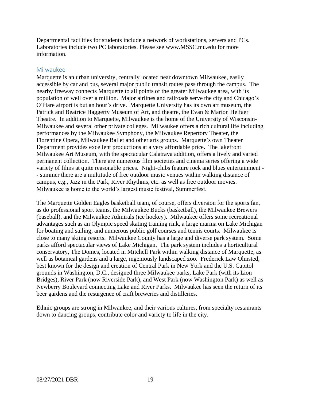Departmental facilities for students include a network of workstations, servers and PCs. Laboratories include two PC laboratories. Please see www.MSSC.mu.edu for more information.

#### <span id="page-19-0"></span>Milwaukee

Marquette is an urban university, centrally located near downtown Milwaukee, easily accessible by car and bus, several major public transit routes pass through the campus. The nearby freeway connects Marquette to all points of the greater Milwaukee area, with its population of well over a million. Major airlines and railroads serve the city and Chicago's O'Hare airport is but an hour's drive. Marquette University has its own art museum, the Patrick and Beatrice Haggerty Museum of Art, and theatre, the Evan & Marion Helfaer Theatre. In addition to Marquette, Milwaukee is the home of the University of Wisconsin-Milwaukee and several other private colleges. Milwaukee offers a rich cultural life including performances by the Milwaukee Symphony, the Milwaukee Repertory Theater, the Florentine Opera, Milwaukee Ballet and other arts groups. Marquette's own Theater Department provides excellent productions at a very affordable price. The lakefront Milwaukee Art Museum, with the spectacular Calatrava addition, offers a lively and varied permanent collection. There are numerous film societies and cinema series offering a wide variety of films at quite reasonable prices. Night-clubs feature rock and blues entertainment - - summer there are a multitude of free outdoor music venues within walking distance of campus, e.g., Jazz in the Park, River Rhythms, etc. as well as free outdoor movies. Milwaukee is home to the world's largest music festival, Summerfest.

The Marquette Golden Eagles basketball team, of course, offers diversion for the sports fan, as do professional sport teams, the Milwaukee Bucks (basketball), the Milwaukee Brewers (baseball), and the Milwaukee Admirals (ice hockey). Milwaukee offers some recreational advantages such as an Olympic speed skating training rink, a large marina on Lake Michigan for boating and sailing, and numerous public golf courses and tennis courts. Milwaukee is close to many skiing resorts. Milwaukee County has a large and diverse park system. Some parks afford spectacular views of Lake Michigan. The park system includes a horticultural conservatory, The Domes, located in Mitchell Park within walking distance of Marquette, as well as botanical gardens and a large, ingeniously landscaped zoo. Frederick Law Olmsted, best known for the design and creation of Central Park in New York and the U.S. Capitol grounds in Washington, D.C., designed three Milwaukee parks, Lake Park (with its Lion Bridges), River Park (now Riverside Park), and West Park (now Washington Park) as well as Newberry Boulevard connecting Lake and River Parks. Milwaukee has seen the return of its beer gardens and the resurgence of craft breweries and distilleries.

Ethnic groups are strong in Milwaukee, and their various cultures, from specialty restaurants down to dancing groups, contribute color and variety to life in the city.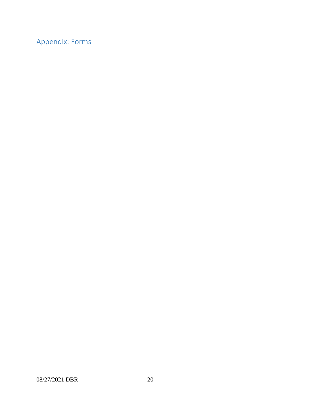<span id="page-20-0"></span>Appendix: Forms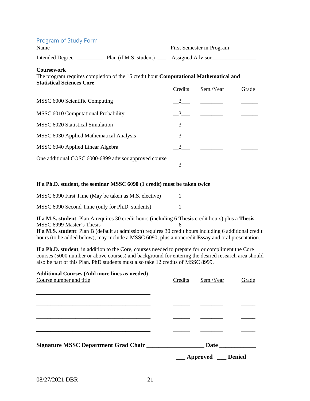<span id="page-21-0"></span>

| Program of Study Form                                                                                                                                |  | First Semester in Program |                       |       |
|------------------------------------------------------------------------------------------------------------------------------------------------------|--|---------------------------|-----------------------|-------|
| Intended Degree <u>__________</u> Plan (if M.S. student) _____ Assigned Advisor__________________________                                            |  |                           |                       |       |
| <b>Coursework</b><br>The program requires completion of the 15 credit hour <b>Computational Mathematical and</b><br><b>Statistical Sciences Core</b> |  |                           |                       |       |
|                                                                                                                                                      |  | Credits                   | Sem./Year             | Grade |
| MSSC 6000 Scientific Computing                                                                                                                       |  |                           | $\overline{3}$        |       |
| MSSC 6010 Computational Probability                                                                                                                  |  | 3                         |                       |       |
| MSSC 6020 Statistical Simulation                                                                                                                     |  | 3                         |                       |       |
| MSSC 6030 Applied Mathematical Analysis                                                                                                              |  |                           | $3$ $\qquad$ $\qquad$ |       |
| MSSC 6040 Applied Linear Algebra                                                                                                                     |  |                           | $3 \qquad \qquad$     |       |
| One additional COSC 6000-6899 advisor approved course                                                                                                |  |                           |                       |       |

#### **If a Ph.D. student, the seminar MSSC 6090 (1 credit) must be taken twice**

| MSSC 6090 First Time (May be taken as M.S. elective) | $\mathbf{1}$ |  |
|------------------------------------------------------|--------------|--|
| MSSC 6090 Second Time (only for Ph.D. students)      |              |  |

**If a M.S. student**: Plan A requires 30 credit hours (including 6 **Thesis** credit hours) plus a **Thesis**.  $MSSC$  6999 Master's Thesis  $\underline{\hspace{1cm}} 6 \underline{\hspace{1cm}} 6$ 

**If a M.S. student**: Plan B (default at admission) requires 30 credit hours including 6 additional credit hours (to be added below), may include a MSSC 6090, plus a noncredit **Essay** and oral presentation.

**If a Ph.D. student**, in addition to the Core, courses needed to prepare for or compliment the Core courses (5000 number or above courses) and background for entering the desired research area should also be part of this Plan. PhD students must also take 12 credits of MSSC 8999.

| <b>Additional Courses (Add more lines as needed)</b> |         |             |               |
|------------------------------------------------------|---------|-------------|---------------|
| Course number and title                              | Credits | Sem./Year   | Grade         |
|                                                      |         |             |               |
|                                                      |         |             |               |
|                                                      |         |             |               |
|                                                      |         |             |               |
|                                                      |         |             |               |
|                                                      |         |             |               |
|                                                      |         |             |               |
| Signature MSSC Department Grad Chair                 |         |             |               |
|                                                      |         | Approved __ | <b>Denied</b> |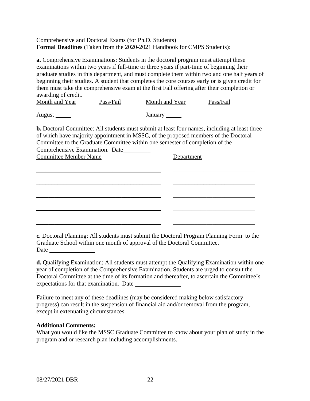#### <span id="page-22-0"></span>Comprehensive and Doctoral Exams (for Ph.D. Students) **Formal Deadlines** (Taken from the 2020-2021 Handbook for CMPS Students):

**a.** Comprehensive Examinations: Students in the doctoral program must attempt these examinations within two years if full-time or three years if part-time of beginning their graduate studies in this department, and must complete them within two and one half years of beginning their studies. A student that completes the core courses early or is given credit for them must take the comprehensive exam at the first Fall offering after their completion or awarding of credit.

| Month and Year | Pass/Fail | Month and Year | Pass/Fail |
|----------------|-----------|----------------|-----------|
| August         |           | January        |           |

**b.** Doctoral Committee: All students must submit at least four names, including at least three of which have majority appointment in MSSC, of the proposed members of the Doctoral Committee to the Graduate Committee within one semester of completion of the Comprehensive Examination. Date\_\_\_\_\_\_\_\_\_

| <b>Committee Member Name</b> | Department |
|------------------------------|------------|
|                              |            |
|                              |            |
|                              |            |
|                              |            |

**c.** Doctoral Planning: All students must submit the Doctoral Program Planning Form to the Graduate School within one month of approval of the Doctoral Committee. Date \_\_\_\_\_\_\_\_\_\_\_\_\_\_\_

**d.** Qualifying Examination: All students must attempt the Qualifying Examination within one year of completion of the Comprehensive Examination. Students are urged to consult the Doctoral Committee at the time of its formation and thereafter, to ascertain the Committee's expectations for that examination. Date \_\_\_\_\_\_\_\_\_\_\_\_\_\_\_

Failure to meet any of these deadlines (may be considered making below satisfactory progress) can result in the suspension of financial aid and/or removal from the program, except in extenuating circumstances.

#### **Additional Comments:**

What you would like the MSSC Graduate Committee to know about your plan of study in the program and or research plan including accomplishments.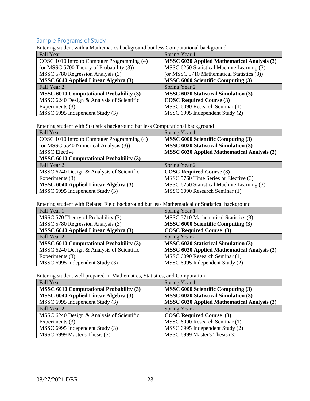### <span id="page-23-0"></span>Sample Programs of Study

Entering student with a Mathematics background but less Computational background

| Fall Year 1                                    | Spring Year 1                                      |  |  |
|------------------------------------------------|----------------------------------------------------|--|--|
| COSC 1010 Intro to Computer Programming (4)    | <b>MSSC 6030 Applied Mathematical Analysis (3)</b> |  |  |
| (or MSSC 5700 Theory of Probability (3))       | MSSC 6250 Statistical Machine Learning (3)         |  |  |
| MSSC 5780 Regression Analysis (3)              | (or MSSC 5710 Mathematical Statistics (3))         |  |  |
| <b>MSSC 6040 Applied Linear Algebra (3)</b>    | <b>MSSC 6000 Scientific Computing (3)</b>          |  |  |
| Fall Year 2                                    | Spring Year 2                                      |  |  |
| <b>MSSC 6010 Computational Probability (3)</b> | <b>MSSC 6020 Statistical Simulation (3)</b>        |  |  |
| MSSC 6240 Design & Analysis of Scientific      | <b>COSC Required Course (3)</b>                    |  |  |
| Experiments (3)                                | MSSC 6090 Research Seminar (1)                     |  |  |
| MSSC 6995 Independent Study (3)                | MSSC 6995 Independent Study (2)                    |  |  |

Entering student with Statistics background but less Computational background

| Fall Year 1                                    | Spring Year 1                                      |
|------------------------------------------------|----------------------------------------------------|
| COSC 1010 Intro to Computer Programming (4)    | <b>MSSC 6000 Scientific Computing (3)</b>          |
| (or MSSC 5540 Numerical Analysis (3))          | <b>MSSC 6020 Statistical Simulation (3)</b>        |
| <b>MSSC</b> Elective                           | <b>MSSC 6030 Applied Mathematical Analysis (3)</b> |
| <b>MSSC 6010 Computational Probability (3)</b> |                                                    |
|                                                |                                                    |
| Fall Year 2                                    | Spring Year 2                                      |
| MSSC 6240 Design & Analysis of Scientific      | <b>COSC Required Course (3)</b>                    |
| Experiments (3)                                | MSSC 5760 Time Series or Elective (3)              |
| <b>MSSC 6040 Applied Linear Algebra (3)</b>    | MSSC 6250 Statistical Machine Learning (3)         |

Entering student with Related Field background but less Mathematical or Statistical background

| Fall Year 1                                    | Spring Year 1                                      |
|------------------------------------------------|----------------------------------------------------|
| MSSC 570 Theory of Probability (3)             | MSSC 5710 Mathematical Statistics (3)              |
| MSSC 5780 Regression Analysis (3)              | <b>MSSC 6000 Scientific Computing (3)</b>          |
| <b>MSSC 6040 Applied Linear Algebra (3)</b>    | <b>COSC Required Course</b> (3)                    |
| Fall Year 2                                    | Spring Year 2                                      |
| <b>MSSC 6010 Computational Probability (3)</b> | <b>MSSC 6020 Statistical Simulation (3)</b>        |
| MSSC 6240 Design & Analysis of Scientific      | <b>MSSC 6030 Applied Mathematical Analysis (3)</b> |
| Experiments (3)                                | MSSC 6090 Research Seminar (1)                     |
| MSSC 6995 Independent Study (3)                | MSSC 6995 Independent Study (2)                    |

Entering student well prepared in Mathematics, Statistics, and Computation

| Fall Year 1                                    | Spring Year 1                                      |
|------------------------------------------------|----------------------------------------------------|
| <b>MSSC 6010 Computational Probability (3)</b> | <b>MSSC 6000 Scientific Computing (3)</b>          |
| <b>MSSC 6040 Applied Linear Algebra (3)</b>    | <b>MSSC 6020 Statistical Simulation (3)</b>        |
| MSSC 6995 Independent Study (3)                | <b>MSSC 6030 Applied Mathematical Analysis (3)</b> |
| Fall Year 2                                    | Spring Year 2                                      |
| MSSC 6240 Design & Analysis of Scientific      | <b>COSC Required Course</b> (3)                    |
| Experiments (3)                                | MSSC 6090 Research Seminar (1)                     |
| MSSC 6995 Independent Study (3)                | MSSC 6995 Independent Study (2)                    |
| MSSC 6999 Master's Thesis (3)                  | MSSC 6999 Master's Thesis (3)                      |